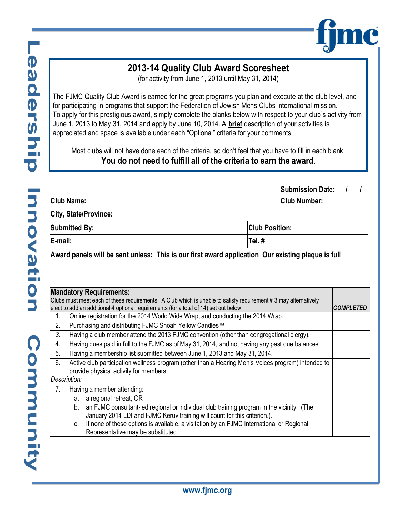

## **2013-14 Quality Club Award Scoresheet**

(for activity from June 1, 2013 until May 31, 2014)

The FJMC Quality Club Award is earned for the great programs you plan and execute at the club level, and for participating in programs that support the Federation of Jewish Mens Clubs international mission. To apply for this prestigious award, simply complete the blanks below with respect to your club's activity from June 1, 2013 to May 31, 2014 and apply by June 10, 2014. A **brief** description of your activities is appreciated and space is available under each "Optional" criteria for your comments.

Most clubs will not have done each of the criteria, so don't feel that you have to fill in each blank. **You do not need to fulfill all of the criteria to earn the award**.

|                                               | <b>Submission Date:</b>                                                                           |
|-----------------------------------------------|---------------------------------------------------------------------------------------------------|
| <b>Club Name:</b>                             | <b>Club Number:</b>                                                                               |
| City, State/Province:                         |                                                                                                   |
| <b>Submitted By:</b><br><b>Club Position:</b> |                                                                                                   |
| E-mail:                                       | Tel.#                                                                                             |
|                                               | Award panels will be sent unless: This is our first award application Our existing plaque is full |

| <b>Mandatory Requirements:</b> |                                                                                                                 |                                                                                                    |  |
|--------------------------------|-----------------------------------------------------------------------------------------------------------------|----------------------------------------------------------------------------------------------------|--|
|                                | Clubs must meet each of these requirements. A Club which is unable to satisfy requirement # 3 may alternatively |                                                                                                    |  |
|                                | elect to add an additional 4 optional requirements (for a total of 14) set out below.<br><b>COMPLETED</b>       |                                                                                                    |  |
|                                |                                                                                                                 | Online registration for the 2014 World Wide Wrap, and conducting the 2014 Wrap.                    |  |
| 2.                             |                                                                                                                 | Purchasing and distributing FJMC Shoah Yellow Candles™                                             |  |
| 3.                             |                                                                                                                 | Having a club member attend the 2013 FJMC convention (other than congregational clergy).           |  |
| 4.                             |                                                                                                                 | Having dues paid in full to the FJMC as of May 31, 2014, and not having any past due balances      |  |
| 5.                             |                                                                                                                 | Having a membership list submitted between June 1, 2013 and May 31, 2014.                          |  |
| 6.                             |                                                                                                                 | Active club participation wellness program (other than a Hearing Men's Voices program) intended to |  |
|                                |                                                                                                                 | provide physical activity for members.                                                             |  |
| Description:                   |                                                                                                                 |                                                                                                    |  |
| 7.                             |                                                                                                                 | Having a member attending:                                                                         |  |
|                                | a.                                                                                                              | a regional retreat, OR                                                                             |  |
|                                | b.                                                                                                              | an FJMC consultant-led regional or individual club training program in the vicinity. (The          |  |
|                                |                                                                                                                 | January 2014 LDI and FJMC Keruv training will count for this criterion.).                          |  |
|                                | C.                                                                                                              | If none of these options is available, a visitation by an FJMC International or Regional           |  |
|                                |                                                                                                                 | Representative may be substituted.                                                                 |  |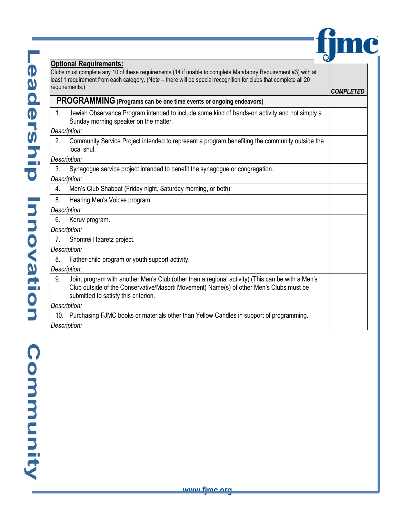|                | <b>Optional Requirements:</b><br>Clubs must complete any 10 of these requirements (14 if unable to complete Mandatory Requirement #3) with at                                                                                       |                  |
|----------------|-------------------------------------------------------------------------------------------------------------------------------------------------------------------------------------------------------------------------------------|------------------|
|                | least 1 requirement from each category. (Note - there will be special recognition for clubs that complete all 20<br>requirements.)                                                                                                  |                  |
|                |                                                                                                                                                                                                                                     | <b>COMPLETED</b> |
|                | PROGRAMMING (Programs can be one time events or ongoing endeavors)                                                                                                                                                                  |                  |
| 1.             | Jewish Observance Program intended to include some kind of hands-on activity and not simply a<br>Sunday morning speaker on the matter.                                                                                              |                  |
|                | Description:                                                                                                                                                                                                                        |                  |
| 2.             | Community Service Project intended to represent a program benefiting the community outside the<br>local shul.                                                                                                                       |                  |
|                | Description:                                                                                                                                                                                                                        |                  |
| 3.             | Synagogue service project intended to benefit the synagogue or congregation.                                                                                                                                                        |                  |
|                | Description:                                                                                                                                                                                                                        |                  |
| 4.             | Men's Club Shabbat (Friday night, Saturday morning, or both)                                                                                                                                                                        |                  |
| 5.             | Hearing Men's Voices program.                                                                                                                                                                                                       |                  |
|                | Description:                                                                                                                                                                                                                        |                  |
| 6.             | Keruv program.                                                                                                                                                                                                                      |                  |
|                | Description:                                                                                                                                                                                                                        |                  |
| 7 <sub>1</sub> | Shomrei Haaretz project.                                                                                                                                                                                                            |                  |
|                | Description:                                                                                                                                                                                                                        |                  |
| 8.             | Father-child program or youth support activity.                                                                                                                                                                                     |                  |
|                | Description:                                                                                                                                                                                                                        |                  |
| 9.             | Joint program with another Men's Club (other than a regional activity) (This can be with a Men's<br>Club outside of the Conservative/Masorti Movement) Name(s) of other Men's Clubs must be<br>submitted to satisfy this criterion. |                  |
|                | Description:                                                                                                                                                                                                                        |                  |
|                | 10. Purchasing FJMC books or materials other than Yellow Candles in support of programming.                                                                                                                                         |                  |
|                | Description:                                                                                                                                                                                                                        |                  |

**fime** 

Community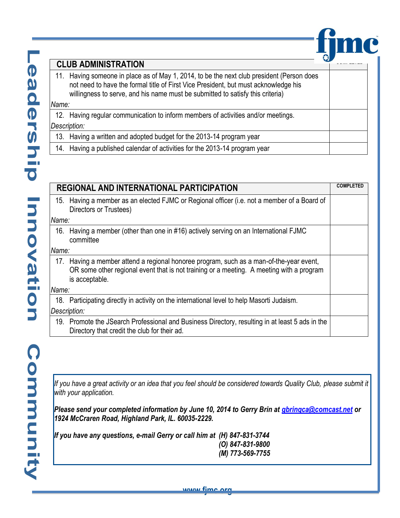

## **CLUB ADMINISTRATION**

11. Having someone in place as of May 1, 2014, to be the next club president (Person does not need to have the formal title of First Vice President, but must acknowledge his willingness to serve, and his name must be submitted to satisfy this criteria)

## *Name:*

| 12. Having regular communication to inform members of activities and/or meetings. |
|-----------------------------------------------------------------------------------|
| Description:                                                                      |
| 13. Having a written and adopted budget for the 2013-14 program year              |

14. Having a published calendar of activities for the 2013-14 program year

| <b>REGIONAL AND INTERNATIONAL PARTICIPATION</b> |                                                                                                                                                                                                       | <b>COMPLETED</b> |
|-------------------------------------------------|-------------------------------------------------------------------------------------------------------------------------------------------------------------------------------------------------------|------------------|
|                                                 | 15. Having a member as an elected FJMC or Regional officer (i.e. not a member of a Board of<br>Directors or Trustees)                                                                                 |                  |
| Name:                                           |                                                                                                                                                                                                       |                  |
|                                                 | 16. Having a member (other than one in #16) actively serving on an International FJMC<br>committee                                                                                                    |                  |
| Name:                                           |                                                                                                                                                                                                       |                  |
|                                                 | 17. Having a member attend a regional honoree program, such as a man-of-the-year event,<br>OR some other regional event that is not training or a meeting. A meeting with a program<br>is acceptable. |                  |
| Name:                                           |                                                                                                                                                                                                       |                  |
|                                                 | 18. Participating directly in activity on the international level to help Masorti Judaism.                                                                                                            |                  |
|                                                 | Description:                                                                                                                                                                                          |                  |
|                                                 | 19. Promote the JSearch Professional and Business Directory, resulting in at least 5 ads in the<br>Directory that credit the club for their ad.                                                       |                  |

*If you have a great activity or an idea that you feel should be considered towards Quality Club, please submit it with your application.* 

*Please send your completed information by June 10, 2014 to Gerry Brin at [gbrinqca@comcast.net](mailto:gbrinqca@comcast.net) or 1924 McCraren Road, Highland Park, IL. 60035-2229.*

*If you have any questions, e-mail Gerry or call him at (H) 847-831-3744 (O) 847-831-9800 (M) 773-569-7755*

<u>waww.fim</u>